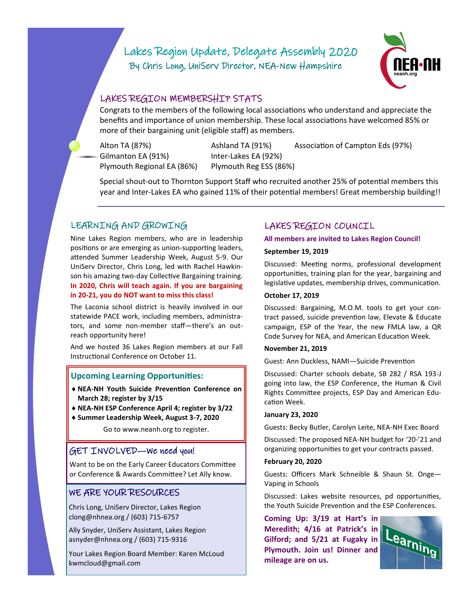# Lakes Region Update, Delegate Assembly 2020 By Chris Long, UniServ Director, NEA-New Hampshire



# LAKES REGION MEMBERSHIP STATS

Congrats to the members of the following local associations who understand and appreciate the benefits and importance of union membership. These local associations have welcomed 85% or more of their bargaining unit (eligible staff) as members.

Gilmanton EA (91%) lnter-Lakes EA (92%) Plymouth Regional EA (86%) Plymouth Reg ESS (86%)

Alton TA (87%) Ashland TA (91%) Association of Campton Eds (97%)

Special shout-out to Thornton Support Staff who recruited another 25% of potential members this year and Inter-Lakes EA who gained 11% of their potential members! Great membership building!!

# LEARNING AND GROWING

Nine Lakes Region members, who are in leadership positions or are emerging as union-supporting leaders, attended Summer Leadership Week, August 5-9. Our UniServ Director, Chris Long, led with Rachel Hawkinson his amazing two-day Collective Bargaining training. **In 2020, Chris will teach again. If you are bargaining in 20-21, you do NOT want to miss this class!** 

The Laconia school district is heavily involved in our statewide PACE work, including members, administrators, and some non-member staff—there's an outreach opportunity here!

And we hosted 36 Lakes Region members at our Fall Instructional Conference on October 11.

### **Upcoming Learning Opportunities:**

- **NEA-NH Youth Suicide Prevention Conference on March 28; register by 3/15**
- **NEA-NH ESP Conference April 4; register by 3/22**
- **Summer Leadership Week, August 3-7, 2020**

Go to www.neanh.org to register.

### GET INVOLVED—We need you!

Want to be on the Early Career Educators Committee or Conference & Awards Committee? Let Ally know.

### WE ARE YOUR RESOURCES

Chris Long, UniServ Director, Lakes Region clong@nhnea.org / (603) 715-6757

Ally Snyder, UniServ Assistant, Lakes Region asnyder@nhnea.org / (603) 715-9316

Your Lakes Region Board Member: Karen McLoud kwmcloud@gmail.com

# LAKES REGION COUNCIL

#### **All members are invited to Lakes Region Council!**

#### **September 19, 2019**

Discussed: Meeting norms, professional development opportunities, training plan for the year, bargaining and legislative updates, membership drives, communication.

#### **October 17, 2019**

Discussed: Bargaining, M.O.M. tools to get your contract passed, suicide prevention law, Elevate & Educate campaign, ESP of the Year, the new FMLA law, a QR Code Survey for NEA, and American Education Week.

#### **November 21, 2019**

Guest: Ann Duckless, NAMI—Suicide Prevention

Discussed: Charter schools debate, SB 282 / RSA 193-J going into law, the ESP Conference, the Human & Civil Rights Committee projects, ESP Day and American Education Week.

#### **January 23, 2020**

Guests: Becky Butler, Carolyn Leite, NEA-NH Exec Board

Discussed: The proposed NEA-NH budget for '20-'21 and organizing opportunities to get your contracts passed.

#### **February 20, 2020**

Guests: Officers Mark Schneible & Shaun St. Onge— Vaping in Schools

Discussed: Lakes website resources, pd opportunities, the Youth Suicide Prevention and the ESP Conferences.

**Coming Up: 3/19 at Hart's in Meredith; 4/16 at Patrick's in Gilford; and 5/21 at Fugaky in Plymouth. Join us! Dinner and mileage are on us.**